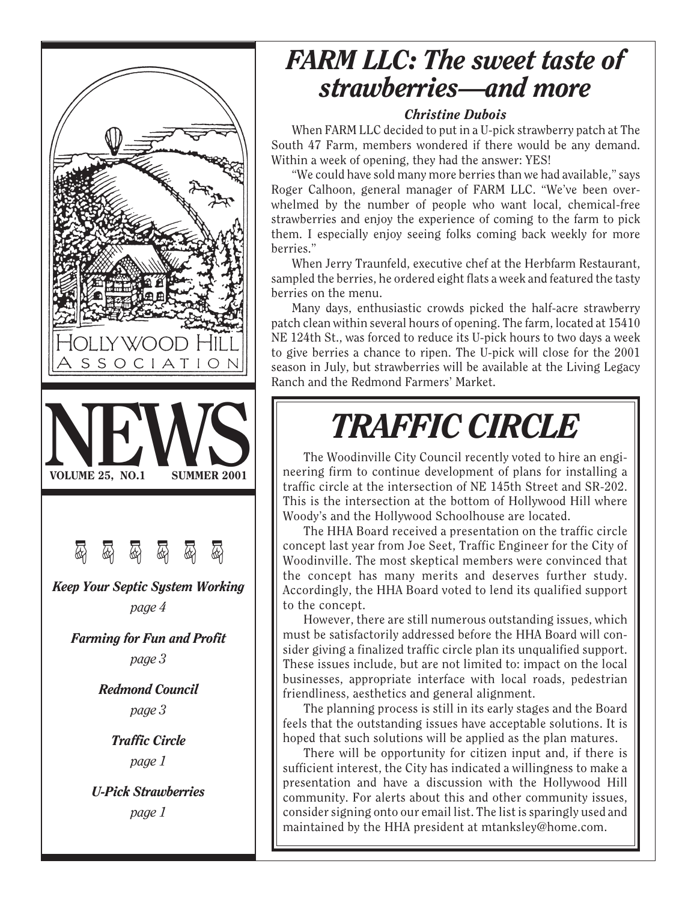

# *FARM LLC: The sweet taste of strawberries—and more*

#### *Christine Dubois*

When FARM LLC decided to put in a U-pick strawberry patch at The South 47 Farm, members wondered if there would be any demand. Within a week of opening, they had the answer: YES!

"We could have sold many more berries than we had available," says Roger Calhoon, general manager of FARM LLC. "We've been overwhelmed by the number of people who want local, chemical-free strawberries and enjoy the experience of coming to the farm to pick them. I especially enjoy seeing folks coming back weekly for more berries."

When Jerry Traunfeld, executive chef at the Herbfarm Restaurant, sampled the berries, he ordered eight flats a week and featured the tasty berries on the menu.

Many days, enthusiastic crowds picked the half-acre strawberry patch clean within several hours of opening. The farm, located at 15410 NE 124th St., was forced to reduce its U-pick hours to two days a week to give berries a chance to ripen. The U-pick will close for the 2001 season in July, but strawberries will be available at the Living Legacy Ranch and the Redmond Farmers' Market.

# *TRAFFIC CIRCLE*

The Woodinville City Council recently voted to hire an engineering firm to continue development of plans for installing a traffic circle at the intersection of NE 145th Street and SR-202. This is the intersection at the bottom of Hollywood Hill where Woody's and the Hollywood Schoolhouse are located.

The HHA Board received a presentation on the traffic circle concept last year from Joe Seet, Traffic Engineer for the City of Woodinville. The most skeptical members were convinced that the concept has many merits and deserves further study. Accordingly, the HHA Board voted to lend its qualified support to the concept.

However, there are still numerous outstanding issues, which must be satisfactorily addressed before the HHA Board will consider giving a finalized traffic circle plan its unqualified support. These issues include, but are not limited to: impact on the local businesses, appropriate interface with local roads, pedestrian friendliness, aesthetics and general alignment.

The planning process is still in its early stages and the Board feels that the outstanding issues have acceptable solutions. It is hoped that such solutions will be applied as the plan matures.

There will be opportunity for citizen input and, if there is sufficient interest, the City has indicated a willingness to make a presentation and have a discussion with the Hollywood Hill community. For alerts about this and other community issues, consider signing onto our email list. The list is sparingly used and maintained by the HHA president at mtanksley@home.com.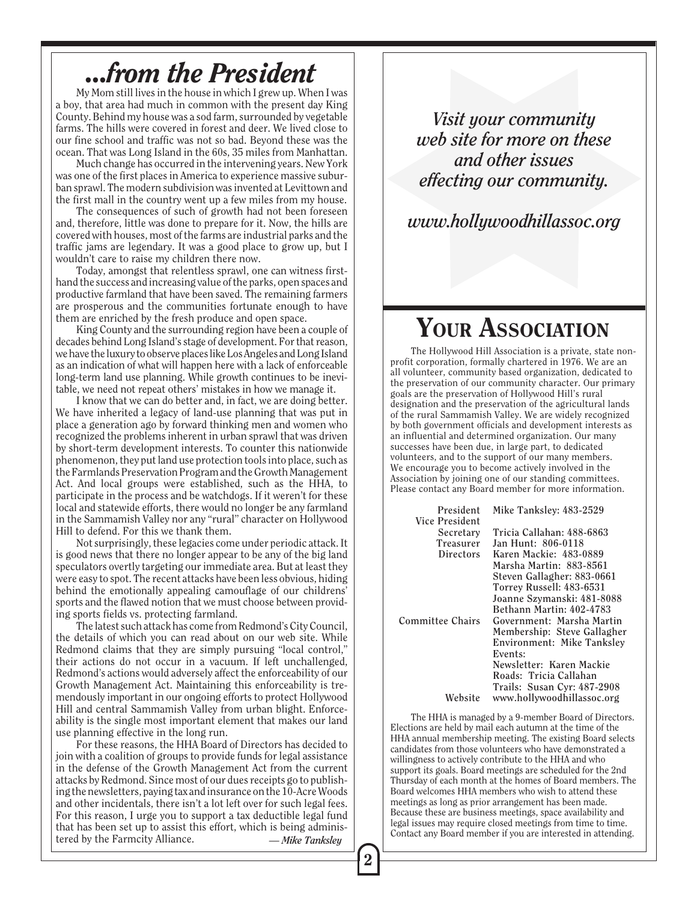### *...from the President*

My Mom still lives in the house in which I grew up. When I was a boy, that area had much in common with the present day King County. Behind my house was a sod farm, surrounded by vegetable farms. The hills were covered in forest and deer. We lived close to our fine school and traffic was not so bad. Beyond these was the ocean. That was Long Island in the 60s, 35 miles from Manhattan.

Much change has occurred in the intervening years. New York was one of the first places in America to experience massive suburban sprawl. The modern subdivision was invented at Levittown and the first mall in the country went up a few miles from my house.

The consequences of such of growth had not been foreseen and, therefore, little was done to prepare for it. Now, the hills are covered with houses, most of the farms are industrial parks and the traffic jams are legendary. It was a good place to grow up, but I wouldn't care to raise my children there now.

Today, amongst that relentless sprawl, one can witness firsthand the success and increasing value of the parks, open spaces and productive farmland that have been saved. The remaining farmers are prosperous and the communities fortunate enough to have them are enriched by the fresh produce and open space.

King County and the surrounding region have been a couple of decades behind Long Island's stage of development. For that reason, we have the luxury to observe places like Los Angeles and Long Island as an indication of what will happen here with a lack of enforceable long-term land use planning. While growth continues to be inevitable, we need not repeat others' mistakes in how we manage it.

I know that we can do better and, in fact, we are doing better. We have inherited a legacy of land-use planning that was put in place a generation ago by forward thinking men and women who recognized the problems inherent in urban sprawl that was driven by short-term development interests. To counter this nationwide phenomenon, they put land use protection tools into place, such as the Farmlands Preservation Program and the Growth Management Act. And local groups were established, such as the HHA, to participate in the process and be watchdogs. If it weren't for these local and statewide efforts, there would no longer be any farmland in the Sammamish Valley nor any "rural" character on Hollywood Hill to defend. For this we thank them.

Not surprisingly, these legacies come under periodic attack. It is good news that there no longer appear to be any of the big land speculators overtly targeting our immediate area. But at least they were easy to spot. The recent attacks have been less obvious, hiding behind the emotionally appealing camouflage of our childrens' sports and the flawed notion that we must choose between providing sports fields vs. protecting farmland.

The latest such attack has come from Redmond's City Council, the details of which you can read about on our web site. While Redmond claims that they are simply pursuing "local control," their actions do not occur in a vacuum. If left unchallenged, Redmond's actions would adversely affect the enforceability of our Growth Management Act. Maintaining this enforceability is tremendously important in our ongoing efforts to protect Hollywood Hill and central Sammamish Valley from urban blight. Enforceability is the single most important element that makes our land use planning effective in the long run.

For these reasons, the HHA Board of Directors has decided to join with a coalition of groups to provide funds for legal assistance in the defense of the Growth Management Act from the current attacks by Redmond. Since most of our dues receipts go to publishing the newsletters, paying tax and insurance on the 10-Acre Woods and other incidentals, there isn't a lot left over for such legal fees. For this reason, I urge you to support a tax deductible legal fund that has been set up to assist this effort, which is being administered by the Farmcity Alliance. *— Mike Tanksley*

*Visit your community web site for more on these and other issues effecting our community.*

*www.hollywoodhillassoc.org*

### YOUR ASSOCIATION

The Hollywood Hill Association is a private, state nonprofit corporation, formally chartered in 1976. We are an all volunteer, community based organization, dedicated to the preservation of our community character. Our primary goals are the preservation of Hollywood Hill's rural designation and the preservation of the agricultural lands of the rural Sammamish Valley. We are widely recognized by both government officials and development interests as an influential and determined organization. Our many successes have been due, in large part, to dedicated volunteers, and to the support of our many members. We encourage you to become actively involved in the Association by joining one of our standing committees. Please contact any Board member for more information.

| President        | Mike Tanksley: 483-2529     |
|------------------|-----------------------------|
| Vice President   |                             |
| Secretary        | Tricia Callahan: 488-6863   |
| <b>Treasurer</b> | Jan Hunt: 806-0118          |
| <b>Directors</b> | Karen Mackie: 483-0889      |
|                  | Marsha Martin: 883-8561     |
|                  | Steven Gallagher: 883-0661  |
|                  | Torrey Russell: 483-6531    |
|                  | Joanne Szymanski: 481-8088  |
|                  | Bethann Martin: 402-4783    |
| Committee Chairs | Government: Marsha Martin   |
|                  | Membership: Steve Gallagher |
|                  | Environment: Mike Tanksley  |
|                  | Events:                     |
|                  | Newsletter: Karen Mackie    |
|                  | Roads: Tricia Callahan      |
|                  | Trails: Susan Cyr: 487-2908 |
| Website          | www.hollywoodhillassoc.org  |

The HHA is managed by a 9-member Board of Directors. Elections are held by mail each autumn at the time of the HHA annual membership meeting. The existing Board selects candidates from those volunteers who have demonstrated a willingness to actively contribute to the HHA and who support its goals. Board meetings are scheduled for the 2nd Thursday of each month at the homes of Board members. The Board welcomes HHA members who wish to attend these meetings as long as prior arrangement has been made. Because these are business meetings, space availability and legal issues may require closed meetings from time to time. Contact any Board member if you are interested in attending.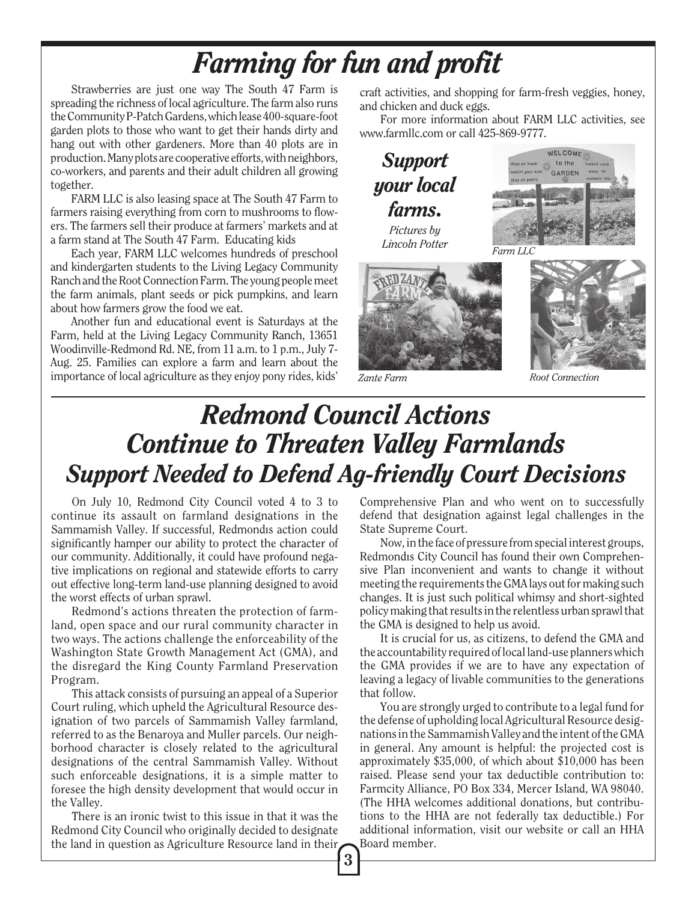# *Farming for fun and profit*

Strawberries are just one way The South 47 Farm is spreading the richness of local agriculture. The farm also runs the Community P-Patch Gardens, which lease 400-square-foot garden plots to those who want to get their hands dirty and hang out with other gardeners. More than 40 plots are in production. Many plots are cooperative efforts, with neighbors, co-workers, and parents and their adult children all growing together.

FARM LLC is also leasing space at The South 47 Farm to farmers raising everything from corn to mushrooms to flowers. The farmers sell their produce at farmers' markets and at a farm stand at The South 47 Farm. Educating kids

Each year, FARM LLC welcomes hundreds of preschool and kindergarten students to the Living Legacy Community Ranch and the Root Connection Farm. The young people meet the farm animals, plant seeds or pick pumpkins, and learn about how farmers grow the food we eat.

Another fun and educational event is Saturdays at the Farm, held at the Living Legacy Community Ranch, 13651 Woodinville-Redmond Rd. NE, from 11 a.m. to 1 p.m., July 7- Aug. 25. Families can explore a farm and learn about the importance of local agriculture as they enjoy pony rides, kids' craft activities, and shopping for farm-fresh veggies, honey, and chicken and duck eggs.

For more information about FARM LLC activities, see www.farmllc.com or call 425-869-9777.







*Zante Farm*



*Root Connection*

# *Redmond Council Actions Continue to Threaten Valley Farmlands Support Needed to Defend Ag-friendly Court Decisions*

On July 10, Redmond City Council voted 4 to 3 to continue its assault on farmland designations in the Sammamish Valley. If successful, Redmondıs action could significantly hamper our ability to protect the character of our community. Additionally, it could have profound negative implications on regional and statewide efforts to carry out effective long-term land-use planning designed to avoid the worst effects of urban sprawl.

Redmond's actions threaten the protection of farmland, open space and our rural community character in two ways. The actions challenge the enforceability of the Washington State Growth Management Act (GMA), and the disregard the King County Farmland Preservation Program.

This attack consists of pursuing an appeal of a Superior Court ruling, which upheld the Agricultural Resource designation of two parcels of Sammamish Valley farmland, referred to as the Benaroya and Muller parcels. Our neighborhood character is closely related to the agricultural designations of the central Sammamish Valley. Without such enforceable designations, it is a simple matter to foresee the high density development that would occur in the Valley.

There is an ironic twist to this issue in that it was the Redmond City Council who originally decided to designate the land in question as Agriculture Resource land in their Comprehensive Plan and who went on to successfully defend that designation against legal challenges in the State Supreme Court.

Now, in the face of pressure from special interest groups, Redmondıs City Council has found their own Comprehensive Plan inconvenient and wants to change it without meeting the requirements the GMA lays out for making such changes. It is just such political whimsy and short-sighted policy making that results in the relentless urban sprawl that the GMA is designed to help us avoid.

It is crucial for us, as citizens, to defend the GMA and the accountability required of local land-use planners which the GMA provides if we are to have any expectation of leaving a legacy of livable communities to the generations that follow.

You are strongly urged to contribute to a legal fund for the defense of upholding local Agricultural Resource designations in the Sammamish Valley and the intent of the GMA in general. Any amount is helpful: the projected cost is approximately \$35,000, of which about \$10,000 has been raised. Please send your tax deductible contribution to: Farmcity Alliance, PO Box 334, Mercer Island, WA 98040. (The HHA welcomes additional donations, but contributions to the HHA are not federally tax deductible.) For additional information, visit our website or call an HHA Board member.